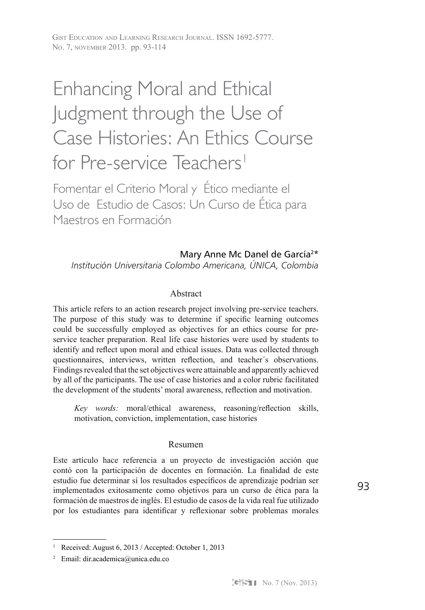Gist Education and Learning Research Journal. ISSN 1692-5777. No. 7, november 2013. pp. 93-114

# Enhancing Moral and Ethical Judgment through the Use of Case Histories: An Ethics Course for Pre-service Teachers<sup>1</sup>

Fomentar el Criterio Moral y Ético mediante el Uso de Estudio de Casos: Un Curso de Ética para Maestros en Formación

Mary Anne Mc Danel de García<sup>2\*</sup> *Institución Universitaria Colombo Americana, ÚNICA, Colombia*

#### Abstract

This article refers to an action research project involving pre-service teachers. The purpose of this study was to determine if specific learning outcomes could be successfully employed as objectives for an ethics course for preservice teacher preparation. Real life case histories were used by students to identify and reflect upon moral and ethical issues. Data was collected through questionnaires, interviews, written reflection, and teacher´s observations. Findings revealed that the set objectives were attainable and apparently achieved by all of the participants. The use of case histories and a color rubric facilitated the development of the students' moral awareness, reflection and motivation.

*Key words:* moral/ethical awareness, reasoning/reflection skills, motivation, conviction, implementation, case histories

#### Resumen

Este artículo hace referencia a un proyecto de investigación acción que contó con la participación de docentes en formación. La finalidad de este estudio fue determinar sí los resultados específicos de aprendizaje podrían ser implementados exitosamente como objetivos para un curso de ética para la formación de maestros de inglés. El estudio de casos de la vida real fue utilizado por los estudiantes para identificar y reflexionar sobre problemas morales

<sup>93</sup>

<sup>&</sup>lt;sup>1</sup> Received: August 6, 2013 / Accepted: October 1, 2013

<sup>2</sup> Email: dir.academica@unica.edu.co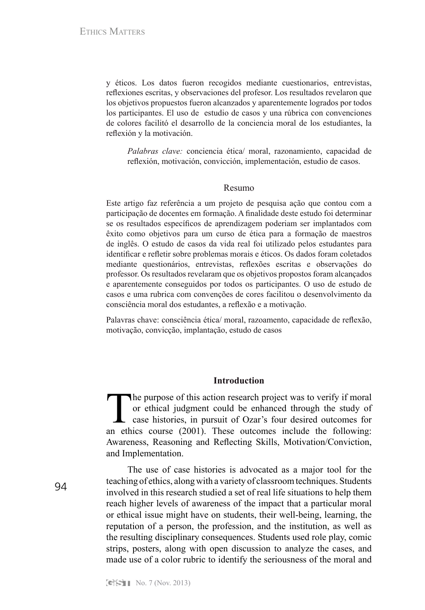y éticos. Los datos fueron recogidos mediante cuestionarios, entrevistas, reflexiones escritas, y observaciones del profesor. Los resultados revelaron que los objetivos propuestos fueron alcanzados y aparentemente logrados por todos los participantes. El uso de estudio de casos y una rúbrica con convenciones de colores facilitó el desarrollo de la conciencia moral de los estudiantes, la reflexión y la motivación.

*Palabras clave:* conciencia ética/ moral, razonamiento, capacidad de reflexión, motivación, convicción, implementación, estudio de casos.

#### Resumo

Este artigo faz referência a um projeto de pesquisa ação que contou com a participação de docentes em formação. A finalidade deste estudo foi determinar se os resultados específicos de aprendizagem poderiam ser implantados com êxito como objetivos para um curso de ética para a formação de maestros de inglês. O estudo de casos da vida real foi utilizado pelos estudantes para identificar e refletir sobre problemas morais e éticos. Os dados foram coletados mediante questionários, entrevistas, reflexões escritas e observações do professor. Os resultados revelaram que os objetivos propostos foram alcançados e aparentemente conseguidos por todos os participantes. O uso de estudo de casos e uma rubrica com convenções de cores facilitou o desenvolvimento da consciência moral dos estudantes, a reflexão e a motivação.

Palavras chave: consciência ética/ moral, razoamento, capacidade de reflexão, motivação, convicção, implantação, estudo de casos

#### **Introduction**

The purpose of this action research project was to verify if moral<br>or ethical judgment could be enhanced through the study of<br>case histories, in pursuit of Ozar's four desired outcomes for<br>an ethics course (2001). These ou or ethical judgment could be enhanced through the study of case histories, in pursuit of Ozar's four desired outcomes for an ethics course (2001). These outcomes include the following: Awareness, Reasoning and Reflecting Skills, Motivation/Conviction, and Implementation.

The use of case histories is advocated as a major tool for the teaching of ethics, along with a variety of classroom techniques. Students involved in this research studied a set of real life situations to help them reach higher levels of awareness of the impact that a particular moral or ethical issue might have on students, their well-being, learning, the reputation of a person, the profession, and the institution, as well as the resulting disciplinary consequences. Students used role play, comic strips, posters, along with open discussion to analyze the cases, and made use of a color rubric to identify the seriousness of the moral and

 $E \to N_0$ . 7 (Nov. 2013)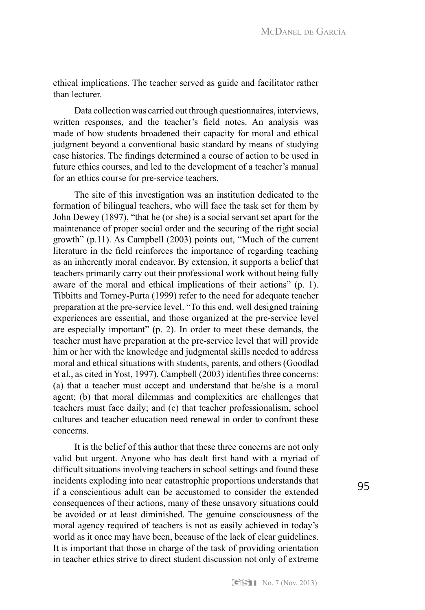ethical implications. The teacher served as guide and facilitator rather than lecturer.

Data collection was carried out through questionnaires, interviews, written responses, and the teacher's field notes. An analysis was made of how students broadened their capacity for moral and ethical judgment beyond a conventional basic standard by means of studying case histories. The findings determined a course of action to be used in future ethics courses, and led to the development of a teacher's manual for an ethics course for pre-service teachers.

The site of this investigation was an institution dedicated to the formation of bilingual teachers, who will face the task set for them by John Dewey (1897), "that he (or she) is a social servant set apart for the maintenance of proper social order and the securing of the right social growth" (p.11). As Campbell (2003) points out, "Much of the current literature in the field reinforces the importance of regarding teaching as an inherently moral endeavor. By extension, it supports a belief that teachers primarily carry out their professional work without being fully aware of the moral and ethical implications of their actions" (p. 1). Tibbitts and Torney-Purta (1999) refer to the need for adequate teacher preparation at the pre-service level. "To this end, well designed training experiences are essential, and those organized at the pre-service level are especially important" (p. 2). In order to meet these demands, the teacher must have preparation at the pre-service level that will provide him or her with the knowledge and judgmental skills needed to address moral and ethical situations with students, parents, and others (Goodlad et al., as cited in Yost, 1997). Campbell (2003) identifies three concerns: (a) that a teacher must accept and understand that he/she is a moral agent; (b) that moral dilemmas and complexities are challenges that teachers must face daily; and (c) that teacher professionalism, school cultures and teacher education need renewal in order to confront these concerns.

It is the belief of this author that these three concerns are not only valid but urgent. Anyone who has dealt first hand with a myriad of difficult situations involving teachers in school settings and found these incidents exploding into near catastrophic proportions understands that if a conscientious adult can be accustomed to consider the extended consequences of their actions, many of these unsavory situations could be avoided or at least diminished. The genuine consciousness of the moral agency required of teachers is not as easily achieved in today's world as it once may have been, because of the lack of clear guidelines. It is important that those in charge of the task of providing orientation in teacher ethics strive to direct student discussion not only of extreme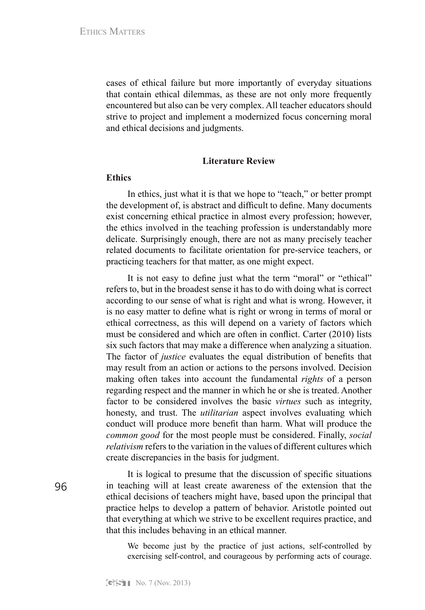cases of ethical failure but more importantly of everyday situations that contain ethical dilemmas, as these are not only more frequently encountered but also can be very complex. All teacher educators should strive to project and implement a modernized focus concerning moral and ethical decisions and judgments.

#### **Literature Review**

#### **Ethics**

In ethics, just what it is that we hope to "teach," or better prompt the development of, is abstract and difficult to define. Many documents exist concerning ethical practice in almost every profession; however, the ethics involved in the teaching profession is understandably more delicate. Surprisingly enough, there are not as many precisely teacher related documents to facilitate orientation for pre-service teachers, or practicing teachers for that matter, as one might expect.

It is not easy to define just what the term "moral" or "ethical" refers to, but in the broadest sense it has to do with doing what is correct according to our sense of what is right and what is wrong. However, it is no easy matter to define what is right or wrong in terms of moral or ethical correctness, as this will depend on a variety of factors which must be considered and which are often in conflict. Carter (2010) lists six such factors that may make a difference when analyzing a situation. The factor of *justice* evaluates the equal distribution of benefits that may result from an action or actions to the persons involved. Decision making often takes into account the fundamental *rights* of a person regarding respect and the manner in which he or she is treated. Another factor to be considered involves the basic *virtues* such as integrity, honesty, and trust. The *utilitarian* aspect involves evaluating which conduct will produce more benefit than harm. What will produce the *common good* for the most people must be considered. Finally, *social relativism* refers to the variation in the values of different cultures which create discrepancies in the basis for judgment.

It is logical to presume that the discussion of specific situations in teaching will at least create awareness of the extension that the ethical decisions of teachers might have, based upon the principal that practice helps to develop a pattern of behavior. Aristotle pointed out that everything at which we strive to be excellent requires practice, and that this includes behaving in an ethical manner.

We become just by the practice of just actions, self-controlled by exercising self-control, and courageous by performing acts of courage.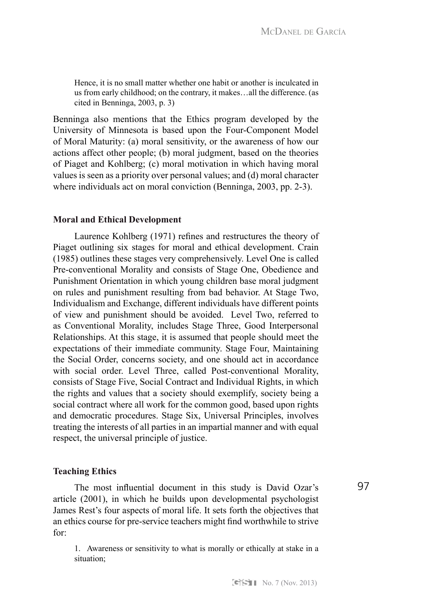Hence, it is no small matter whether one habit or another is inculcated in us from early childhood; on the contrary, it makes…all the difference. (as cited in Benninga, 2003, p. 3)

Benninga also mentions that the Ethics program developed by the University of Minnesota is based upon the Four-Component Model of Moral Maturity: (a) moral sensitivity, or the awareness of how our actions affect other people; (b) moral judgment, based on the theories of Piaget and Kohlberg; (c) moral motivation in which having moral values is seen as a priority over personal values; and (d) moral character where individuals act on moral conviction (Benninga, 2003, pp. 2-3).

#### **Moral and Ethical Development**

Laurence Kohlberg (1971) refines and restructures the theory of Piaget outlining six stages for moral and ethical development. Crain (1985) outlines these stages very comprehensively. Level One is called Pre-conventional Morality and consists of Stage One, Obedience and Punishment Orientation in which young children base moral judgment on rules and punishment resulting from bad behavior. At Stage Two, Individualism and Exchange, different individuals have different points of view and punishment should be avoided. Level Two, referred to as Conventional Morality, includes Stage Three, Good Interpersonal Relationships. At this stage, it is assumed that people should meet the expectations of their immediate community. Stage Four, Maintaining the Social Order, concerns society, and one should act in accordance with social order. Level Three, called Post-conventional Morality, consists of Stage Five, Social Contract and Individual Rights, in which the rights and values that a society should exemplify, society being a social contract where all work for the common good, based upon rights and democratic procedures. Stage Six, Universal Principles, involves treating the interests of all parties in an impartial manner and with equal respect, the universal principle of justice.

#### **Teaching Ethics**

The most influential document in this study is David Ozar's article (2001), in which he builds upon developmental psychologist James Rest's four aspects of moral life. It sets forth the objectives that an ethics course for pre-service teachers might find worthwhile to strive for:

1. Awareness or sensitivity to what is morally or ethically at stake in a situation;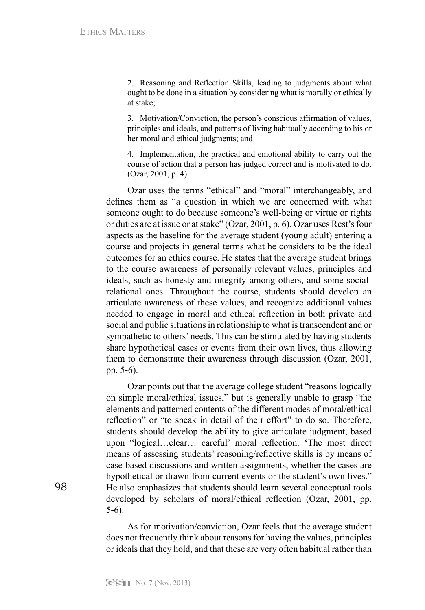2. Reasoning and Reflection Skills, leading to judgments about what ought to be done in a situation by considering what is morally or ethically at stake;

3. Motivation/Conviction, the person's conscious affirmation of values, principles and ideals, and patterns of living habitually according to his or her moral and ethical judgments; and

4. Implementation, the practical and emotional ability to carry out the course of action that a person has judged correct and is motivated to do. (Ozar, 2001, p. 4)

Ozar uses the terms "ethical" and "moral" interchangeably, and defines them as "a question in which we are concerned with what someone ought to do because someone's well-being or virtue or rights or duties are at issue or at stake" (Ozar, 2001, p. 6). Ozar uses Rest's four aspects as the baseline for the average student (young adult) entering a course and projects in general terms what he considers to be the ideal outcomes for an ethics course. He states that the average student brings to the course awareness of personally relevant values, principles and ideals, such as honesty and integrity among others, and some socialrelational ones. Throughout the course, students should develop an articulate awareness of these values, and recognize additional values needed to engage in moral and ethical reflection in both private and social and public situations in relationship to what is transcendent and or sympathetic to others' needs. This can be stimulated by having students share hypothetical cases or events from their own lives, thus allowing them to demonstrate their awareness through discussion (Ozar, 2001, pp. 5-6).

Ozar points out that the average college student "reasons logically on simple moral/ethical issues," but is generally unable to grasp "the elements and patterned contents of the different modes of moral/ethical reflection" or "to speak in detail of their effort" to do so. Therefore, students should develop the ability to give articulate judgment, based upon "logical…clear… careful' moral reflection. 'The most direct means of assessing students' reasoning/reflective skills is by means of case-based discussions and written assignments, whether the cases are hypothetical or drawn from current events or the student's own lives." He also emphasizes that students should learn several conceptual tools developed by scholars of moral/ethical reflection (Ozar, 2001, pp. 5-6).

As for motivation/conviction, Ozar feels that the average student does not frequently think about reasons for having the values, principles or ideals that they hold, and that these are very often habitual rather than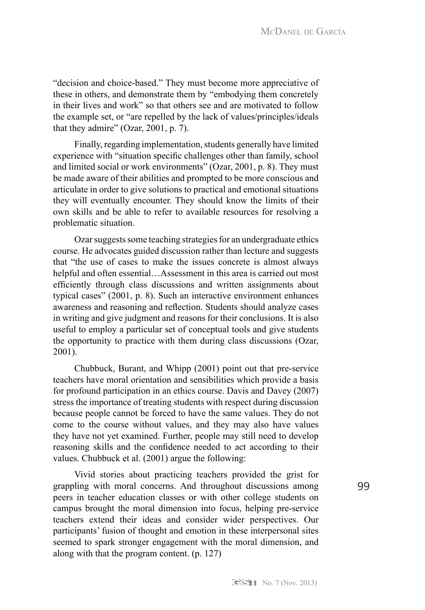"decision and choice-based." They must become more appreciative of these in others, and demonstrate them by "embodying them concretely in their lives and work" so that others see and are motivated to follow the example set, or "are repelled by the lack of values/principles/ideals that they admire" (Ozar, 2001, p. 7).

Finally, regarding implementation, students generally have limited experience with "situation specific challenges other than family, school and limited social or work environments" (Ozar, 2001, p. 8). They must be made aware of their abilities and prompted to be more conscious and articulate in order to give solutions to practical and emotional situations they will eventually encounter. They should know the limits of their own skills and be able to refer to available resources for resolving a problematic situation.

Ozar suggests some teaching strategies for an undergraduate ethics course. He advocates guided discussion rather than lecture and suggests that "the use of cases to make the issues concrete is almost always helpful and often essential…Assessment in this area is carried out most efficiently through class discussions and written assignments about typical cases" (2001, p. 8). Such an interactive environment enhances awareness and reasoning and reflection. Students should analyze cases in writing and give judgment and reasons for their conclusions. It is also useful to employ a particular set of conceptual tools and give students the opportunity to practice with them during class discussions (Ozar, 2001).

Chubbuck, Burant, and Whipp (2001) point out that pre-service teachers have moral orientation and sensibilities which provide a basis for profound participation in an ethics course. Davis and Davey (2007) stress the importance of treating students with respect during discussion because people cannot be forced to have the same values. They do not come to the course without values, and they may also have values they have not yet examined. Further, people may still need to develop reasoning skills and the confidence needed to act according to their values. Chubbuck et al. (2001) argue the following:

Vivid stories about practicing teachers provided the grist for grappling with moral concerns. And throughout discussions among peers in teacher education classes or with other college students on campus brought the moral dimension into focus, helping pre-service teachers extend their ideas and consider wider perspectives. Our participants' fusion of thought and emotion in these interpersonal sites seemed to spark stronger engagement with the moral dimension, and along with that the program content. (p. 127)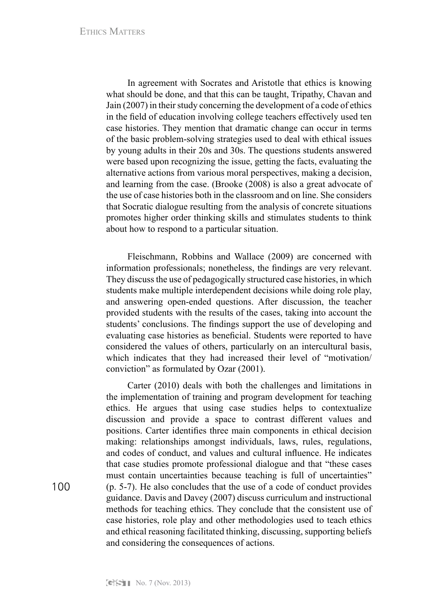In agreement with Socrates and Aristotle that ethics is knowing what should be done, and that this can be taught, Tripathy, Chavan and Jain (2007) in their study concerning the development of a code of ethics in the field of education involving college teachers effectively used ten case histories. They mention that dramatic change can occur in terms of the basic problem-solving strategies used to deal with ethical issues by young adults in their 20s and 30s. The questions students answered were based upon recognizing the issue, getting the facts, evaluating the alternative actions from various moral perspectives, making a decision, and learning from the case. (Brooke (2008) is also a great advocate of the use of case histories both in the classroom and on line. She considers that Socratic dialogue resulting from the analysis of concrete situations promotes higher order thinking skills and stimulates students to think about how to respond to a particular situation.

Fleischmann, Robbins and Wallace (2009) are concerned with information professionals; nonetheless, the findings are very relevant. They discuss the use of pedagogically structured case histories, in which students make multiple interdependent decisions while doing role play, and answering open-ended questions. After discussion, the teacher provided students with the results of the cases, taking into account the students' conclusions. The findings support the use of developing and evaluating case histories as beneficial. Students were reported to have considered the values of others, particularly on an intercultural basis, which indicates that they had increased their level of "motivation/ conviction" as formulated by Ozar (2001).

Carter (2010) deals with both the challenges and limitations in the implementation of training and program development for teaching ethics. He argues that using case studies helps to contextualize discussion and provide a space to contrast different values and positions. Carter identifies three main components in ethical decision making: relationships amongst individuals, laws, rules, regulations, and codes of conduct, and values and cultural influence. He indicates that case studies promote professional dialogue and that "these cases must contain uncertainties because teaching is full of uncertainties" (p. 5-7). He also concludes that the use of a code of conduct provides guidance. Davis and Davey (2007) discuss curriculum and instructional methods for teaching ethics. They conclude that the consistent use of case histories, role play and other methodologies used to teach ethics and ethical reasoning facilitated thinking, discussing, supporting beliefs and considering the consequences of actions.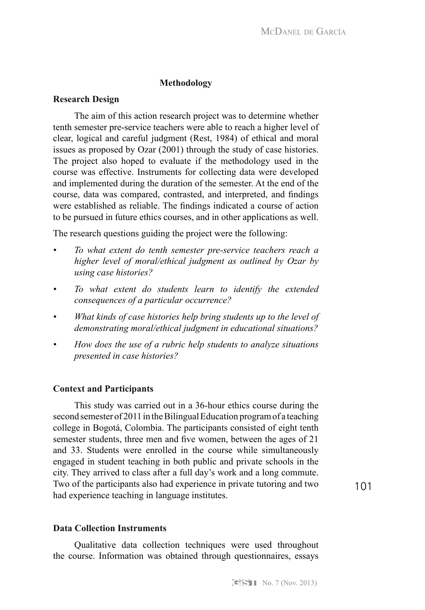#### **Methodology**

#### **Research Design**

The aim of this action research project was to determine whether tenth semester pre-service teachers were able to reach a higher level of clear, logical and careful judgment (Rest, 1984) of ethical and moral issues as proposed by Ozar (2001) through the study of case histories. The project also hoped to evaluate if the methodology used in the course was effective. Instruments for collecting data were developed and implemented during the duration of the semester. At the end of the course, data was compared, contrasted, and interpreted, and findings were established as reliable. The findings indicated a course of action to be pursued in future ethics courses, and in other applications as well.

The research questions guiding the project were the following:

- *• To what extent do tenth semester pre-service teachers reach a higher level of moral/ethical judgment as outlined by Ozar by using case histories?*
- *• To what extent do students learn to identify the extended consequences of a particular occurrence?*
- *• What kinds of case histories help bring students up to the level of demonstrating moral/ethical judgment in educational situations?*
- *• How does the use of a rubric help students to analyze situations presented in case histories?*

#### **Context and Participants**

This study was carried out in a 36-hour ethics course during the second semester of 2011 in the Bilingual Education program of a teaching college in Bogotá, Colombia. The participants consisted of eight tenth semester students, three men and five women, between the ages of 21 and 33. Students were enrolled in the course while simultaneously engaged in student teaching in both public and private schools in the city. They arrived to class after a full day's work and a long commute. Two of the participants also had experience in private tutoring and two had experience teaching in language institutes.

101

#### **Data Collection Instruments**

Qualitative data collection techniques were used throughout the course. Information was obtained through questionnaires, essays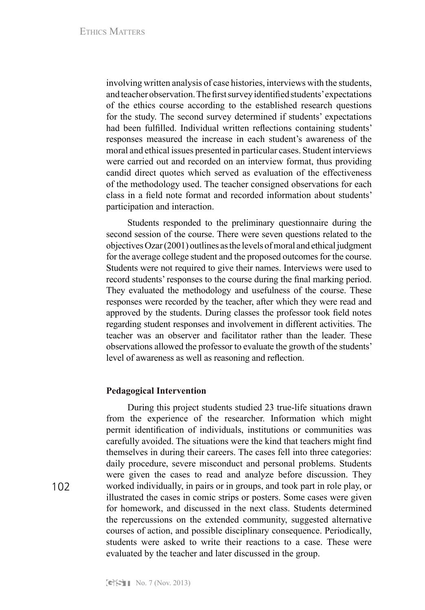involving written analysis of case histories, interviews with the students, and teacher observation. The first survey identified students' expectations of the ethics course according to the established research questions for the study. The second survey determined if students' expectations had been fulfilled. Individual written reflections containing students' responses measured the increase in each student's awareness of the moral and ethical issues presented in particular cases. Student interviews were carried out and recorded on an interview format, thus providing candid direct quotes which served as evaluation of the effectiveness of the methodology used. The teacher consigned observations for each class in a field note format and recorded information about students' participation and interaction.

Students responded to the preliminary questionnaire during the second session of the course. There were seven questions related to the objectives Ozar (2001) outlines as the levels of moral and ethical judgment for the average college student and the proposed outcomes for the course. Students were not required to give their names. Interviews were used to record students' responses to the course during the final marking period. They evaluated the methodology and usefulness of the course. These responses were recorded by the teacher, after which they were read and approved by the students. During classes the professor took field notes regarding student responses and involvement in different activities. The teacher was an observer and facilitator rather than the leader. These observations allowed the professor to evaluate the growth of the students' level of awareness as well as reasoning and reflection.

### **Pedagogical Intervention**

During this project students studied 23 true-life situations drawn from the experience of the researcher. Information which might permit identification of individuals, institutions or communities was carefully avoided. The situations were the kind that teachers might find themselves in during their careers. The cases fell into three categories: daily procedure, severe misconduct and personal problems. Students were given the cases to read and analyze before discussion. They worked individually, in pairs or in groups, and took part in role play, or illustrated the cases in comic strips or posters. Some cases were given for homework, and discussed in the next class. Students determined the repercussions on the extended community, suggested alternative courses of action, and possible disciplinary consequence. Periodically, students were asked to write their reactions to a case. These were evaluated by the teacher and later discussed in the group.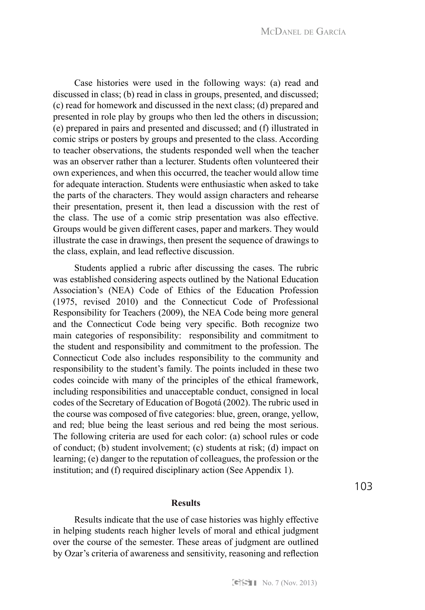Case histories were used in the following ways: (a) read and discussed in class; (b) read in class in groups, presented, and discussed; (c) read for homework and discussed in the next class; (d) prepared and presented in role play by groups who then led the others in discussion; (e) prepared in pairs and presented and discussed; and (f) illustrated in comic strips or posters by groups and presented to the class. According to teacher observations, the students responded well when the teacher was an observer rather than a lecturer. Students often volunteered their own experiences, and when this occurred, the teacher would allow time for adequate interaction. Students were enthusiastic when asked to take the parts of the characters. They would assign characters and rehearse their presentation, present it, then lead a discussion with the rest of the class. The use of a comic strip presentation was also effective. Groups would be given different cases, paper and markers. They would illustrate the case in drawings, then present the sequence of drawings to the class, explain, and lead reflective discussion.

Students applied a rubric after discussing the cases. The rubric was established considering aspects outlined by the National Education Association's (NEA) Code of Ethics of the Education Profession (1975, revised 2010) and the Connecticut Code of Professional Responsibility for Teachers (2009), the NEA Code being more general and the Connecticut Code being very specific. Both recognize two main categories of responsibility: responsibility and commitment to the student and responsibility and commitment to the profession. The Connecticut Code also includes responsibility to the community and responsibility to the student's family. The points included in these two codes coincide with many of the principles of the ethical framework, including responsibilities and unacceptable conduct, consigned in local codes of the Secretary of Education of Bogotá (2002). The rubric used in the course was composed of five categories: blue, green, orange, yellow, and red; blue being the least serious and red being the most serious. The following criteria are used for each color: (a) school rules or code of conduct; (b) student involvement; (c) students at risk; (d) impact on learning; (e) danger to the reputation of colleagues, the profession or the institution; and (f) required disciplinary action (See Appendix 1).

# 103

#### **Results**

Results indicate that the use of case histories was highly effective in helping students reach higher levels of moral and ethical judgment over the course of the semester. These areas of judgment are outlined by Ozar's criteria of awareness and sensitivity, reasoning and reflection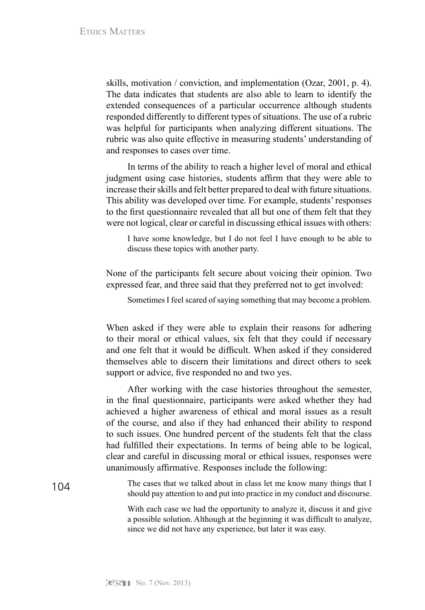skills, motivation / conviction, and implementation (Ozar, 2001, p. 4). The data indicates that students are also able to learn to identify the extended consequences of a particular occurrence although students responded differently to different types of situations. The use of a rubric was helpful for participants when analyzing different situations. The rubric was also quite effective in measuring students' understanding of and responses to cases over time.

In terms of the ability to reach a higher level of moral and ethical judgment using case histories, students affirm that they were able to increase their skills and felt better prepared to deal with future situations. This ability was developed over time. For example, students' responses to the first questionnaire revealed that all but one of them felt that they were not logical, clear or careful in discussing ethical issues with others:

I have some knowledge, but I do not feel I have enough to be able to discuss these topics with another party.

None of the participants felt secure about voicing their opinion. Two expressed fear, and three said that they preferred not to get involved:

Sometimes I feel scared of saying something that may become a problem.

When asked if they were able to explain their reasons for adhering to their moral or ethical values, six felt that they could if necessary and one felt that it would be difficult. When asked if they considered themselves able to discern their limitations and direct others to seek support or advice, five responded no and two yes.

After working with the case histories throughout the semester, in the final questionnaire, participants were asked whether they had achieved a higher awareness of ethical and moral issues as a result of the course, and also if they had enhanced their ability to respond to such issues. One hundred percent of the students felt that the class had fulfilled their expectations. In terms of being able to be logical, clear and careful in discussing moral or ethical issues, responses were unanimously affirmative. Responses include the following:

The cases that we talked about in class let me know many things that I should pay attention to and put into practice in my conduct and discourse.

With each case we had the opportunity to analyze it, discuss it and give a possible solution. Although at the beginning it was difficult to analyze, since we did not have any experience, but later it was easy.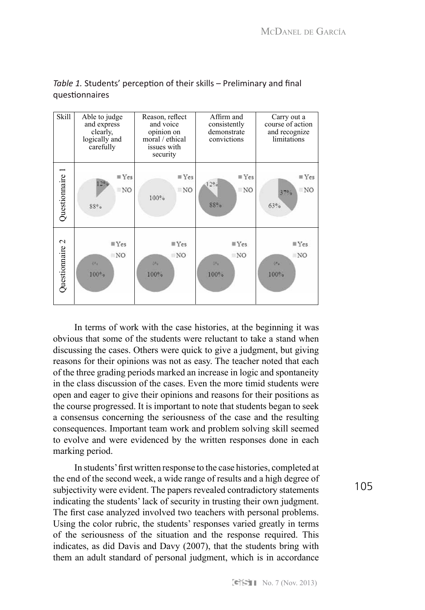| Skill           | Able to judge<br>and express<br>clearly,<br>logically and<br>carefully | Reason, reflect<br>and voice<br>opinion on<br>moral / ethical<br>issues with<br>security | Affirm and<br>consistently<br>demonstrate<br>convictions | Carry out a<br>course of action<br>and recognize<br>limitations |
|-----------------|------------------------------------------------------------------------|------------------------------------------------------------------------------------------|----------------------------------------------------------|-----------------------------------------------------------------|
| Questionnaire 1 | $\mathbb{I}$ Yes<br>2%<br>NO<br>88%                                    | $\blacksquare$ Yes<br>NO <sub>1</sub><br>100%                                            | Yes<br>12%<br>- NO<br>$88^\circ$ o                       | $\square$ Yes<br>NO<br>37%<br>63°                               |
| Questionnaire 2 | $\mathbb{I}$ Yes<br>NO<br><b>CBE</b><br>100%                           | <b>■Yes</b><br>NO<br>$0^3$<br>100%                                                       | <b>■Yes</b><br>NO<br>$0.5 + 1$<br>$100\%$                | <b>II</b> Yes<br>NO<br>04a<br>$100\%$                           |

# *Table 1.* Students' perception of their skills – Preliminary and final questionnaires

In terms of work with the case histories, at the beginning it was obvious that some of the students were reluctant to take a stand when discussing the cases. Others were quick to give a judgment, but giving reasons for their opinions was not as easy. The teacher noted that each of the three grading periods marked an increase in logic and spontaneity in the class discussion of the cases. Even the more timid students were open and eager to give their opinions and reasons for their positions as the course progressed. It is important to note that students began to seek a consensus concerning the seriousness of the case and the resulting consequences. Important team work and problem solving skill seemed to evolve and were evidenced by the written responses done in each marking period.

In students' first written response to the case histories, completed at the end of the second week, a wide range of results and a high degree of subjectivity were evident. The papers revealed contradictory statements indicating the students' lack of security in trusting their own judgment. The first case analyzed involved two teachers with personal problems. Using the color rubric, the students' responses varied greatly in terms of the seriousness of the situation and the response required. This indicates, as did Davis and Davy (2007), that the students bring with them an adult standard of personal judgment, which is in accordance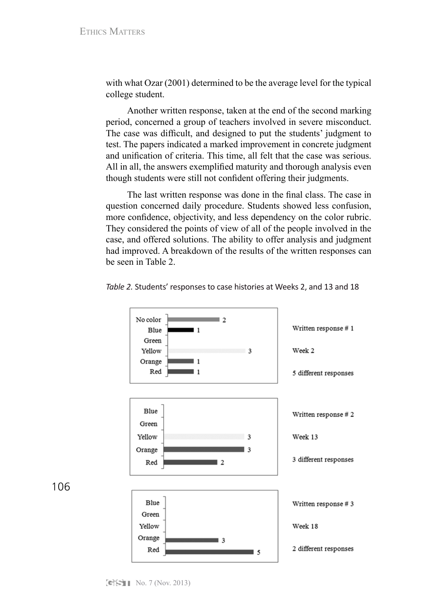with what Ozar (2001) determined to be the average level for the typical college student.

Another written response, taken at the end of the second marking period, concerned a group of teachers involved in severe misconduct. The case was difficult, and designed to put the students' judgment to test. The papers indicated a marked improvement in concrete judgment and unification of criteria. This time, all felt that the case was serious. All in all, the answers exemplified maturity and thorough analysis even though students were still not confident offering their judgments.

The last written response was done in the final class. The case in question concerned daily procedure. Students showed less confusion, more confidence, objectivity, and less dependency on the color rubric. They considered the points of view of all of the people involved in the case, and offered solutions. The ability to offer analysis and judgment had improved. A breakdown of the results of the written responses can be seen in Table 2.



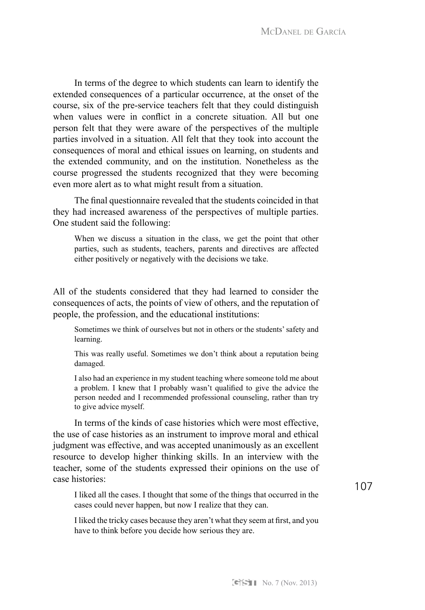In terms of the degree to which students can learn to identify the extended consequences of a particular occurrence, at the onset of the course, six of the pre-service teachers felt that they could distinguish when values were in conflict in a concrete situation. All but one person felt that they were aware of the perspectives of the multiple parties involved in a situation. All felt that they took into account the consequences of moral and ethical issues on learning, on students and the extended community, and on the institution. Nonetheless as the course progressed the students recognized that they were becoming even more alert as to what might result from a situation.

The final questionnaire revealed that the students coincided in that they had increased awareness of the perspectives of multiple parties. One student said the following:

When we discuss a situation in the class, we get the point that other parties, such as students, teachers, parents and directives are affected either positively or negatively with the decisions we take.

All of the students considered that they had learned to consider the consequences of acts, the points of view of others, and the reputation of people, the profession, and the educational institutions:

Sometimes we think of ourselves but not in others or the students' safety and learning.

This was really useful. Sometimes we don't think about a reputation being damaged.

I also had an experience in my student teaching where someone told me about a problem. I knew that I probably wasn't qualified to give the advice the person needed and I recommended professional counseling, rather than try to give advice myself.

In terms of the kinds of case histories which were most effective, the use of case histories as an instrument to improve moral and ethical judgment was effective, and was accepted unanimously as an excellent resource to develop higher thinking skills. In an interview with the teacher, some of the students expressed their opinions on the use of case histories:

I liked all the cases. I thought that some of the things that occurred in the cases could never happen, but now I realize that they can.

I liked the tricky cases because they aren't what they seem at first, and you have to think before you decide how serious they are.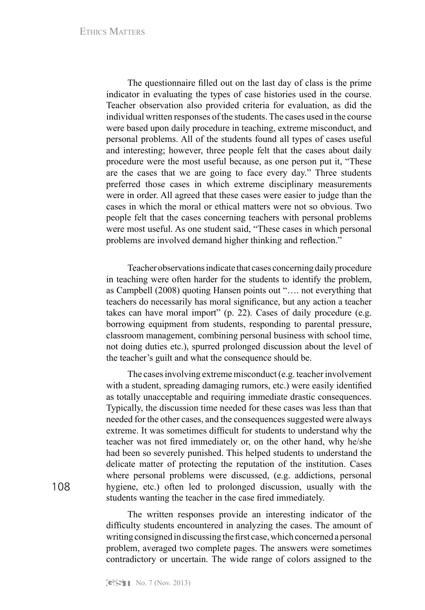The questionnaire filled out on the last day of class is the prime indicator in evaluating the types of case histories used in the course. Teacher observation also provided criteria for evaluation, as did the individual written responses of the students. The cases used in the course were based upon daily procedure in teaching, extreme misconduct, and personal problems. All of the students found all types of cases useful and interesting; however, three people felt that the cases about daily procedure were the most useful because, as one person put it, "These are the cases that we are going to face every day." Three students preferred those cases in which extreme disciplinary measurements were in order. All agreed that these cases were easier to judge than the cases in which the moral or ethical matters were not so obvious. Two people felt that the cases concerning teachers with personal problems were most useful. As one student said, "These cases in which personal problems are involved demand higher thinking and reflection."

Teacher observations indicate that cases concerning daily procedure in teaching were often harder for the students to identify the problem, as Campbell (2008) quoting Hansen points out "…. not everything that teachers do necessarily has moral significance, but any action a teacher takes can have moral import" (p. 22). Cases of daily procedure (e.g. borrowing equipment from students, responding to parental pressure, classroom management, combining personal business with school time, not doing duties etc.), spurred prolonged discussion about the level of the teacher's guilt and what the consequence should be.

The cases involving extreme misconduct (e.g. teacher involvement with a student, spreading damaging rumors, etc.) were easily identified as totally unacceptable and requiring immediate drastic consequences. Typically, the discussion time needed for these cases was less than that needed for the other cases, and the consequences suggested were always extreme. It was sometimes difficult for students to understand why the teacher was not fired immediately or, on the other hand, why he/she had been so severely punished. This helped students to understand the delicate matter of protecting the reputation of the institution. Cases where personal problems were discussed, (e.g. addictions, personal hygiene, etc.) often led to prolonged discussion, usually with the students wanting the teacher in the case fired immediately.

The written responses provide an interesting indicator of the difficulty students encountered in analyzing the cases. The amount of writing consigned in discussing the first case, which concerned a personal problem, averaged two complete pages. The answers were sometimes contradictory or uncertain. The wide range of colors assigned to the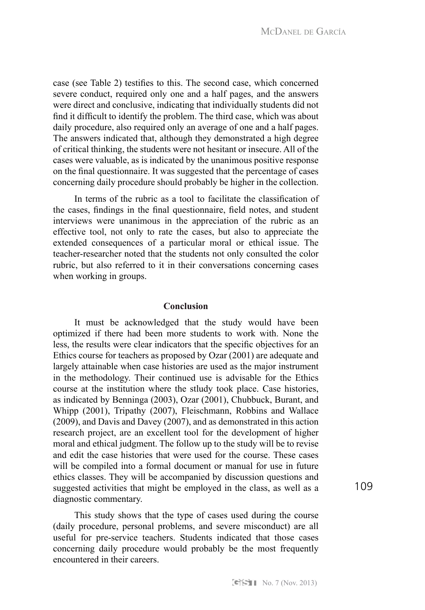case (see Table 2) testifies to this. The second case, which concerned severe conduct, required only one and a half pages, and the answers were direct and conclusive, indicating that individually students did not find it difficult to identify the problem. The third case, which was about daily procedure, also required only an average of one and a half pages. The answers indicated that, although they demonstrated a high degree of critical thinking, the students were not hesitant or insecure. All of the cases were valuable, as is indicated by the unanimous positive response on the final questionnaire. It was suggested that the percentage of cases concerning daily procedure should probably be higher in the collection.

In terms of the rubric as a tool to facilitate the classification of the cases, findings in the final questionnaire, field notes, and student interviews were unanimous in the appreciation of the rubric as an effective tool, not only to rate the cases, but also to appreciate the extended consequences of a particular moral or ethical issue. The teacher-researcher noted that the students not only consulted the color rubric, but also referred to it in their conversations concerning cases when working in groups.

#### **Conclusion**

It must be acknowledged that the study would have been optimized if there had been more students to work with. None the less, the results were clear indicators that the specific objectives for an Ethics course for teachers as proposed by Ozar (2001) are adequate and largely attainable when case histories are used as the major instrument in the methodology. Their continued use is advisable for the Ethics course at the institution where the stludy took place. Case histories, as indicated by Benninga (2003), Ozar (2001), Chubbuck, Burant, and Whipp (2001), Tripathy (2007), Fleischmann, Robbins and Wallace (2009), and Davis and Davey (2007), and as demonstrated in this action research project, are an excellent tool for the development of higher moral and ethical judgment. The follow up to the study will be to revise and edit the case histories that were used for the course. These cases will be compiled into a formal document or manual for use in future ethics classes. They will be accompanied by discussion questions and suggested activities that might be employed in the class, as well as a diagnostic commentary.

This study shows that the type of cases used during the course (daily procedure, personal problems, and severe misconduct) are all useful for pre-service teachers. Students indicated that those cases concerning daily procedure would probably be the most frequently encountered in their careers.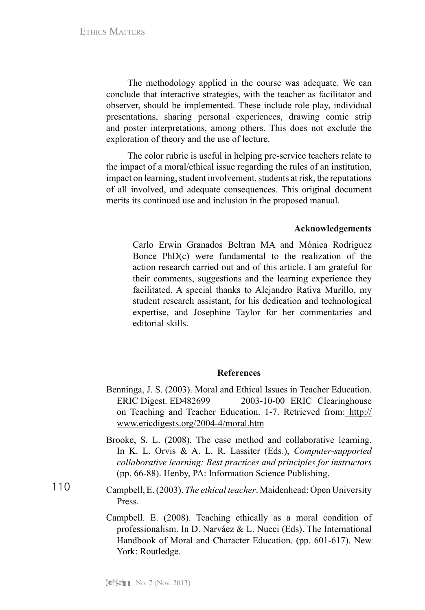The methodology applied in the course was adequate. We can conclude that interactive strategies, with the teacher as facilitator and observer, should be implemented. These include role play, individual presentations, sharing personal experiences, drawing comic strip and poster interpretations, among others. This does not exclude the exploration of theory and the use of lecture.

The color rubric is useful in helping pre-service teachers relate to the impact of a moral/ethical issue regarding the rules of an institution, impact on learning, student involvement, students at risk, the reputations of all involved, and adequate consequences. This original document merits its continued use and inclusion in the proposed manual.

#### **Acknowledgements**

Carlo Erwin Granados Beltran MA and Mónica Rodriguez Bonce PhD(c) were fundamental to the realization of the action research carried out and of this article. I am grateful for their comments, suggestions and the learning experience they facilitated. A special thanks to Alejandro Rativa Murillo, my student research assistant, for his dedication and technological expertise, and Josephine Taylor for her commentaries and editorial skills.

#### **References**

- Benninga, J. S. (2003). Moral and Ethical Issues in Teacher Education. ERIC Digest. ED482699 2003-10-00 ERIC Clearinghouse on Teaching and Teacher Education. 1-7. Retrieved from: http:// www.ericdigests.org/2004-4/moral.htm
- Brooke, S. L. (2008). The case method and collaborative learning. In K. L. Orvis & A. L. R. Lassiter (Eds.), *Computer-supported collaborative learning: Best practices and principles for instructors* (pp. 66-88). Henby, PA: Information Science Publishing.
- Campbell, E. (2003). *The ethical teacher*. Maidenhead: Open University Press.
	- Campbell. E. (2008). Teaching ethically as a moral condition of professionalism. In D. Narváez & L. Nucci (Eds). The International Handbook of Moral and Character Education. (pp. 601-617). New York: Routledge.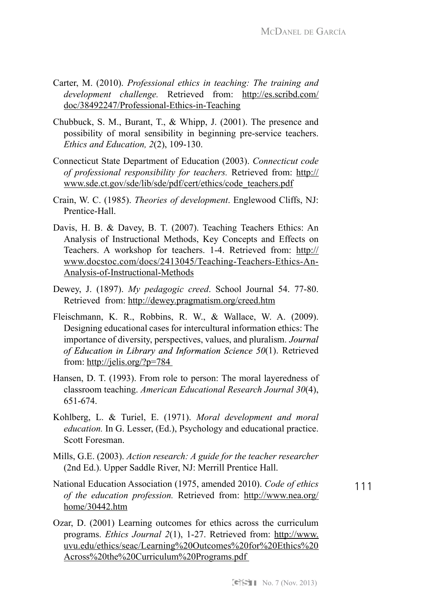- Carter, M. (2010). *Professional ethics in teaching: The training and development challenge.* Retrieved from: http://es.scribd.com/ doc/38492247/Professional-Ethics-in-Teaching
- Chubbuck, S. M., Burant, T., & Whipp, J. (2001). The presence and possibility of moral sensibility in beginning pre-service teachers. *Ethics and Education, 2*(2), 109-130.
- Connecticut State Department of Education (2003). *Connecticut code of professional responsibility for teachers.* Retrieved from: http:// www.sde.ct.gov/sde/lib/sde/pdf/cert/ethics/code\_teachers.pdf
- Crain, W. C. (1985). *Theories of development*. Englewood Cliffs, NJ: Prentice-Hall.
- Davis, H. B. & Davey, B. T. (2007). Teaching Teachers Ethics: An Analysis of Instructional Methods, Key Concepts and Effects on Teachers. A workshop for teachers. 1-4. Retrieved from: http:// www.docstoc.com/docs/2413045/Teaching-Teachers-Ethics-An-Analysis-of-Instructional-Methods
- Dewey, J. (1897). *My pedagogic creed*. School Journal 54. 77-80. Retrieved from: http://dewey.pragmatism.org/creed.htm
- Fleischmann, K. R., Robbins, R. W., & Wallace, W. A. (2009). Designing educational cases for intercultural information ethics: The importance of diversity, perspectives, values, and pluralism. Journal of Education in Library and Information Science  $50(1)$ . Retrieved from: http://jelis.org/?p=784
- Hansen, D. T. (1993). From role to person: The moral layeredness of classroom teaching. *American Educational Research Journal 30*(4), 651-674.
- Kohlberg, L. & Turiel, E. (1971). *Moral development and moral education.* In G. Lesser, (Ed.), Psychology and educational practice. Scott Foresman.
- Mills, G.E. (2003). *Action research: A guide for the teacher researcher* (2nd Ed.). Upper Saddle River, NJ: Merrill Prentice Hall.
- National Education Association (1975, amended 2010). *Code of ethics of the education profession.* Retrieved from: http://www.nea.org/ home/30442.htm

111

Ozar, D. (2001) Learning outcomes for ethics across the curriculum programs. *Ethics Journal 2*(1), 1-27. Retrieved from: http://www. uvu.edu/ethics/seac/Learning%20Outcomes%20for%20Ethics%20 Across%20the%20Curriculum%20Programs.pdf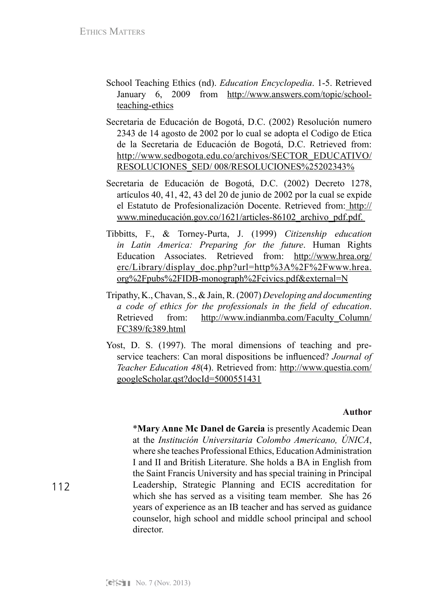- School Teaching Ethics (nd). *Education Encyclopedia*. 1-5. Retrieved January 6, 2009 from http://www.answers.com/topic/schoolteaching-ethics
- Secretaria de Educación de Bogotá, D.C. (2002) Resolución numero 2343 de 14 agosto de 2002 por lo cual se adopta el Codigo de Etica de la Secretaria de Educación de Bogotá, D.C. Retrieved from: http://www.sedbogota.edu.co/archivos/SECTOR\_EDUCATIVO/ RESOLUCIONES\_SED/ 008/RESOLUCIONES%25202343%
- Secretaria de Educación de Bogotá, D.C. (2002) Decreto 1278, artículos 40, 41, 42, 43 del 20 de junio de 2002 por la cual se expide el Estatuto de Profesionalización Docente. Retrieved from: http:// www.mineducación.gov.co/1621/articles-86102\_archivo\_pdf.pdf.
- Tibbitts, F., & Torney-Purta, J. (1999) *Citizenship education in Latin America: Preparing for the future*. Human Rights Education Associates. Retrieved from: http://www.hrea.org/ erc/Library/display\_doc.php?url=http%3A%2F%2Fwww.hrea. org%2Fpubs%2FIDB-monograph%2Fcivics.pdf&external=N
- Tripathy, K., Chavan, S., & Jain, R. (2007) *Developing and documenting a code of ethics for the professionals in the field of education*. Retrieved from: http://www.indianmba.com/Faculty\_Column/ FC389/fc389.html
- Yost, D. S. (1997). The moral dimensions of teaching and preservice teachers: Can moral dispositions be influenced? *Journal of Teacher Education 48*(4). Retrieved from: http://www.questia.com/ googleScholar.qst?docId=5000551431

#### **Author**

\***Mary Anne Mc Danel de Garcia** is presently Academic Dean at the *Institución Universitaria Colombo Americano, ÚNICA*, where she teaches Professional Ethics, Education Administration I and II and British Literature. She holds a BA in English from the Saint Francis University and has special training in Principal Leadership, Strategic Planning and ECIS accreditation for which she has served as a visiting team member. She has 26 years of experience as an IB teacher and has served as guidance counselor, high school and middle school principal and school director.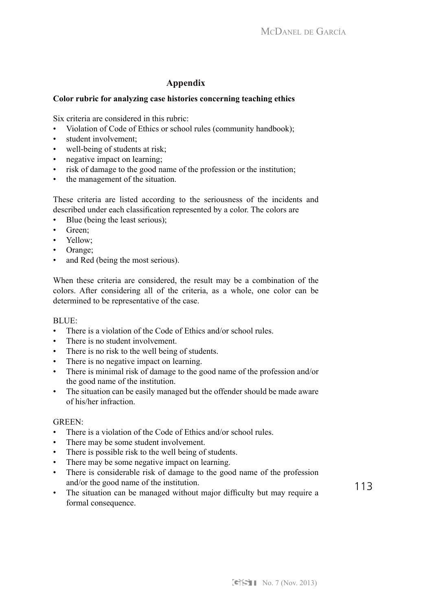# **Appendix**

#### **Color rubric for analyzing case histories concerning teaching ethics**

Six criteria are considered in this rubric:

- Violation of Code of Ethics or school rules (community handbook);
- student involvement;
- well-being of students at risk;
- negative impact on learning;
- risk of damage to the good name of the profession or the institution;
- the management of the situation.

These criteria are listed according to the seriousness of the incidents and described under each classification represented by a color. The colors are

- Blue (being the least serious);
- Green;
- Yellow:
- Orange:
- and Red (being the most serious).

When these criteria are considered, the result may be a combination of the colors. After considering all of the criteria, as a whole, one color can be determined to be representative of the case.

#### BLUE:

- There is a violation of the Code of Ethics and/or school rules.
- There is no student involvement.
- There is no risk to the well being of students.
- There is no negative impact on learning.
- There is minimal risk of damage to the good name of the profession and/or the good name of the institution.
- The situation can be easily managed but the offender should be made aware of his/her infraction.

#### GREEN:

- There is a violation of the Code of Ethics and/or school rules.
- There may be some student involvement.
- There is possible risk to the well being of students.
- There may be some negative impact on learning.
- There is considerable risk of damage to the good name of the profession and/or the good name of the institution.
- The situation can be managed without major difficulty but may require a formal consequence.